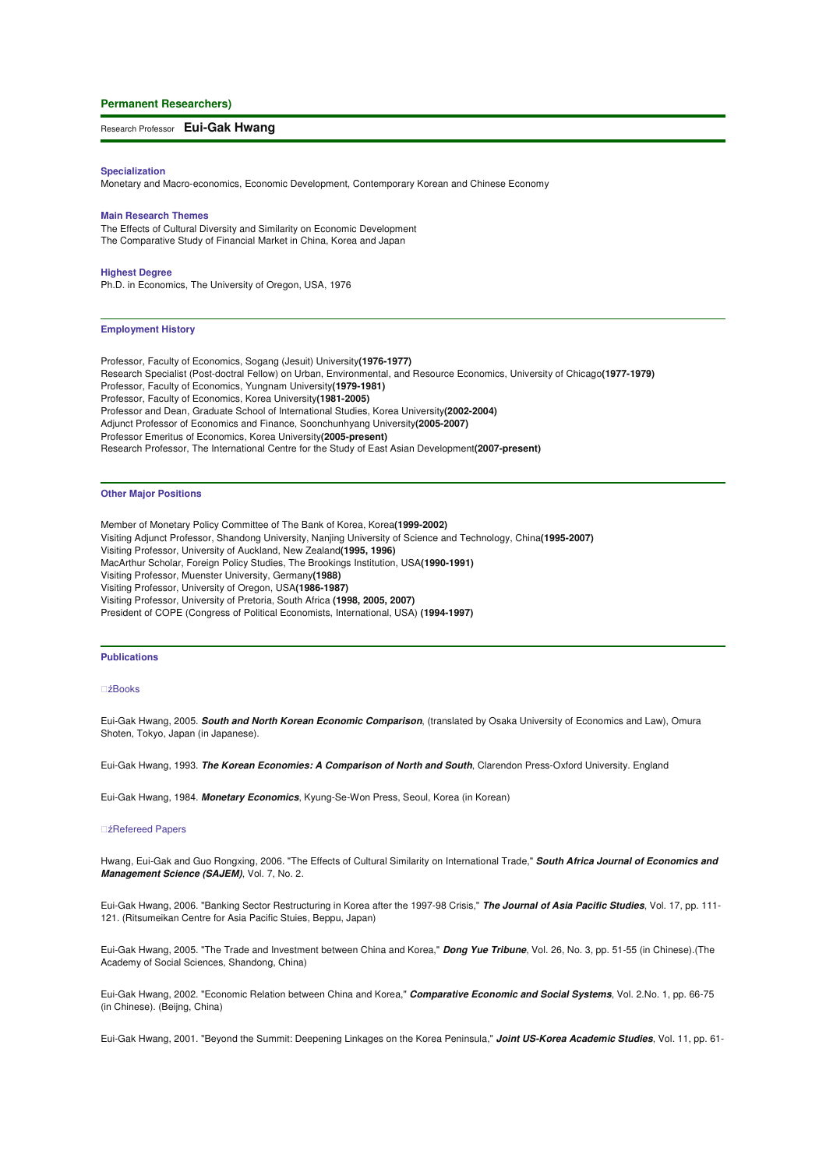## **Permanent Researchers)**

# Research Professor **Eui-Gak Hwang**

#### **Specialization**

Monetary and Macro-economics, Economic Development, Contemporary Korean and Chinese Economy

## **Main Research Themes**

The Effects of Cultural Diversity and Similarity on Economic Development The Comparative Study of Financial Market in China, Korea and Japan

#### **Highest Degree**

Ph.D. in Economics, The University of Oregon, USA, 1976

#### **Employment History**

Professor, Faculty of Economics, Sogang (Jesuit) University**(1976-1977)** Research Specialist (Post-doctral Fellow) on Urban, Environmental, and Resource Economics, University of Chicago**(1977-1979)** Professor, Faculty of Economics, Yungnam University**(1979-1981)** Professor, Faculty of Economics, Korea University**(1981-2005)** Professor and Dean, Graduate School of International Studies, Korea University**(2002-2004)** Adjunct Professor of Economics and Finance, Soonchunhyang University**(2005-2007)** Professor Emeritus of Economics, Korea University**(2005-present)** Research Professor, The International Centre for the Study of East Asian Development**(2007-present)**

## **Other Major Positions**

Member of Monetary Policy Committee of The Bank of Korea, Korea**(1999-2002)** Visiting Adjunct Professor, Shandong University, Nanjing University of Science and Technology, China**(1995-2007)** Visiting Professor, University of Auckland, New Zealand**(1995, 1996)** MacArthur Scholar, Foreign Policy Studies, The Brookings Institution, USA**(1990-1991)** Visiting Professor, Muenster University, Germany**(1988)** Visiting Professor, University of Oregon, USA**(1986-1987)** Visiting Professor, University of Pretoria, South Africa **(1998, 2005, 2007)** President of COPE (Congress of Political Economists, International, USA) **(1994-1997)**

#### **Publications**

# źBooks

Eui-Gak Hwang, 2005. **South and North Korean Economic Comparison**, (translated by Osaka University of Economics and Law), Omura Shoten, Tokyo, Japan (in Japanese).

Eui-Gak Hwang, 1993. **The Korean Economies: A Comparison of North and South**, Clarendon Press-Oxford University. England

Eui-Gak Hwang, 1984. **Monetary Economics**, Kyung-Se-Won Press, Seoul, Korea (in Korean)

## źRefereed Papers

Hwang, Eui-Gak and Guo Rongxing, 2006. "The Effects of Cultural Similarity on International Trade," **South Africa Journal of Economics and Management Science (SAJEM)**, Vol. 7, No. 2.

Eui-Gak Hwang, 2006. "Banking Sector Restructuring in Korea after the 1997-98 Crisis," **The Journal of Asia Pacific Studies**, Vol. 17, pp. 111- 121. (Ritsumeikan Centre for Asia Pacific Stuies, Beppu, Japan)

Eui-Gak Hwang, 2005. "The Trade and Investment between China and Korea," **Dong Yue Tribune**, Vol. 26, No. 3, pp. 51-55 (in Chinese).(The Academy of Social Sciences, Shandong, China)

Eui-Gak Hwang, 2002. "Economic Relation between China and Korea," **Comparative Economic and Social Systems**, Vol. 2.No. 1, pp. 66-75 (in Chinese). (Beijng, China)

Eui-Gak Hwang, 2001. "Beyond the Summit: Deepening Linkages on the Korea Peninsula," **Joint US-Korea Academic Studies**, Vol. 11, pp. 61-